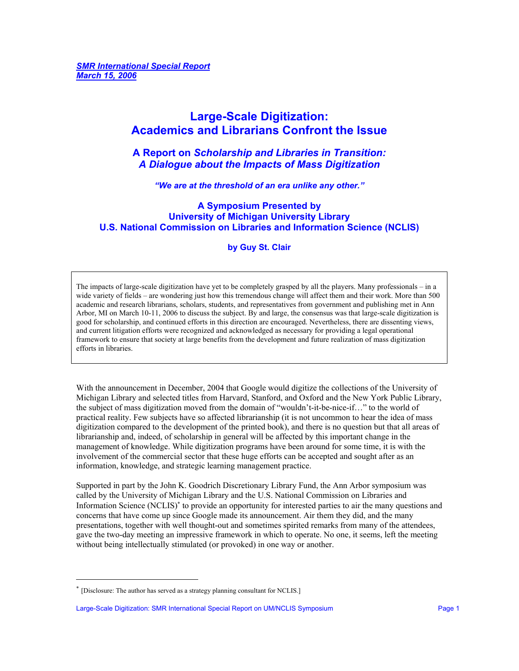# **Large-Scale Digitization: Academics and Librarians Confront the Issue**

**A Report on** *Scholarship and Libraries in Transition: A Dialogue about the Impacts of Mass Digitization* 

*"We are at the threshold of an era unlike any other."* 

# **A Symposium Presented by University of Michigan University Library U.S. National Commission on Libraries and Information Science (NCLIS)**

**by Guy St. Clair** 

The impacts of large-scale digitization have yet to be completely grasped by all the players. Many professionals – in a wide variety of fields – are wondering just how this tremendous change will affect them and their work. More than 500 academic and research librarians, scholars, students, and representatives from government and publishing met in Ann Arbor, MI on March 10-11, 2006 to discuss the subject. By and large, the consensus was that large-scale digitization is good for scholarship, and continued efforts in this direction are encouraged. Nevertheless, there are dissenting views, and current litigation efforts were recognized and acknowledged as necessary for providing a legal operational framework to ensure that society at large benefits from the development and future realization of mass digitization efforts in libraries.

With the announcement in December, 2004 that Google would digitize the collections of the University of Michigan Library and selected titles from Harvard, Stanford, and Oxford and the New York Public Library, the subject of mass digitization moved from the domain of "wouldn't-it-be-nice-if…" to the world of practical reality. Few subjects have so affected librarianship (it is not uncommon to hear the idea of mass digitization compared to the development of the printed book), and there is no question but that all areas of librarianship and, indeed, of scholarship in general will be affected by this important change in the management of knowledge. While digitization programs have been around for some time, it is with the involvement of the commercial sector that these huge efforts can be accepted and sought after as an information, knowledge, and strategic learning management practice.

Supported in part by the John K. Goodrich Discretionary Library Fund, the Ann Arbor symposium was called by the University of Michigan Library and the U.S. National Commission on Libraries and Information Science (NCLIS)<sup>∗</sup> to provide an opportunity for interested parties to air the many questions and concerns that have come up since Google made its announcement. Air them they did, and the many presentations, together with well thought-out and sometimes spirited remarks from many of the attendees, gave the two-day meeting an impressive framework in which to operate. No one, it seems, left the meeting without being intellectually stimulated (or provoked) in one way or another.

-

<sup>∗</sup> [Disclosure: The author has served as a strategy planning consultant for NCLIS.]

Large-Scale Digitization: SMR International Special Report on UM/NCLIS Symposium **Page 1** Page 1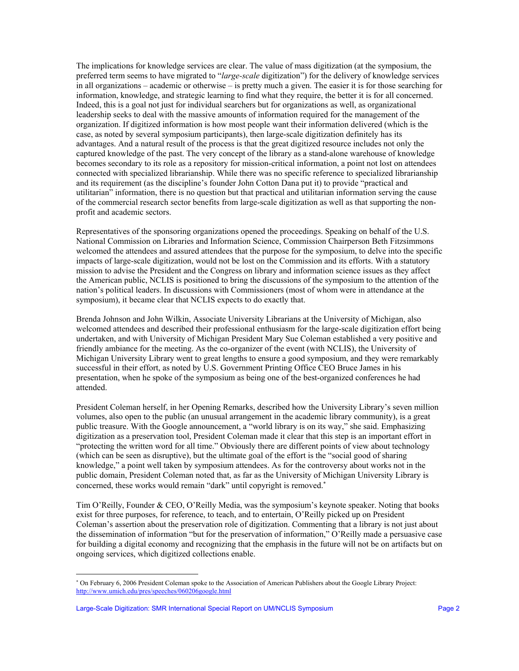The implications for knowledge services are clear. The value of mass digitization (at the symposium, the preferred term seems to have migrated to "*large-scale* digitization") for the delivery of knowledge services in all organizations – academic or otherwise – is pretty much a given. The easier it is for those searching for information, knowledge, and strategic learning to find what they require, the better it is for all concerned. Indeed, this is a goal not just for individual searchers but for organizations as well, as organizational leadership seeks to deal with the massive amounts of information required for the management of the organization. If digitized information is how most people want their information delivered (which is the case, as noted by several symposium participants), then large-scale digitization definitely has its advantages. And a natural result of the process is that the great digitized resource includes not only the captured knowledge of the past. The very concept of the library as a stand-alone warehouse of knowledge becomes secondary to its role as a repository for mission-critical information, a point not lost on attendees connected with specialized librarianship. While there was no specific reference to specialized librarianship and its requirement (as the discipline's founder John Cotton Dana put it) to provide "practical and utilitarian" information, there is no question but that practical and utilitarian information serving the cause of the commercial research sector benefits from large-scale digitization as well as that supporting the nonprofit and academic sectors.

Representatives of the sponsoring organizations opened the proceedings. Speaking on behalf of the U.S. National Commission on Libraries and Information Science, Commission Chairperson Beth Fitzsimmons welcomed the attendees and assured attendees that the purpose for the symposium, to delve into the specific impacts of large-scale digitization, would not be lost on the Commission and its efforts. With a statutory mission to advise the President and the Congress on library and information science issues as they affect the American public, NCLIS is positioned to bring the discussions of the symposium to the attention of the nation's political leaders. In discussions with Commissioners (most of whom were in attendance at the symposium), it became clear that NCLIS expects to do exactly that.

Brenda Johnson and John Wilkin, Associate University Librarians at the University of Michigan, also welcomed attendees and described their professional enthusiasm for the large-scale digitization effort being undertaken, and with University of Michigan President Mary Sue Coleman established a very positive and friendly ambiance for the meeting. As the co-organizer of the event (with NCLIS), the University of Michigan University Library went to great lengths to ensure a good symposium, and they were remarkably successful in their effort, as noted by U.S. Government Printing Office CEO Bruce James in his presentation, when he spoke of the symposium as being one of the best-organized conferences he had attended.

President Coleman herself, in her Opening Remarks, described how the University Library's seven million volumes, also open to the public (an unusual arrangement in the academic library community), is a great public treasure. With the Google announcement, a "world library is on its way," she said. Emphasizing digitization as a preservation tool, President Coleman made it clear that this step is an important effort in "protecting the written word for all time." Obviously there are different points of view about technology (which can be seen as disruptive), but the ultimate goal of the effort is the "social good of sharing knowledge," a point well taken by symposium attendees. As for the controversy about works not in the public domain, President Coleman noted that, as far as the University of Michigan University Library is concerned, these works would remain "dark" until copyright is removed.<sup>∗</sup>

Tim O'Reilly, Founder & CEO, O'Reilly Media, was the symposium's keynote speaker. Noting that books exist for three purposes, for reference, to teach, and to entertain, O'Reilly picked up on President Coleman's assertion about the preservation role of digitization. Commenting that a library is not just about the dissemination of information "but for the preservation of information," O'Reilly made a persuasive case for building a digital economy and recognizing that the emphasis in the future will not be on artifacts but on ongoing services, which digitized collections enable.

l

<sup>∗</sup> On February 6, 2006 President Coleman spoke to the Association of American Publishers about the Google Library Project: <http://www.umich.edu/pres/speeches/060206google.html>

Large-Scale Digitization: SMR International Special Report on UM/NCLIS Symposium **Page 2** Page 2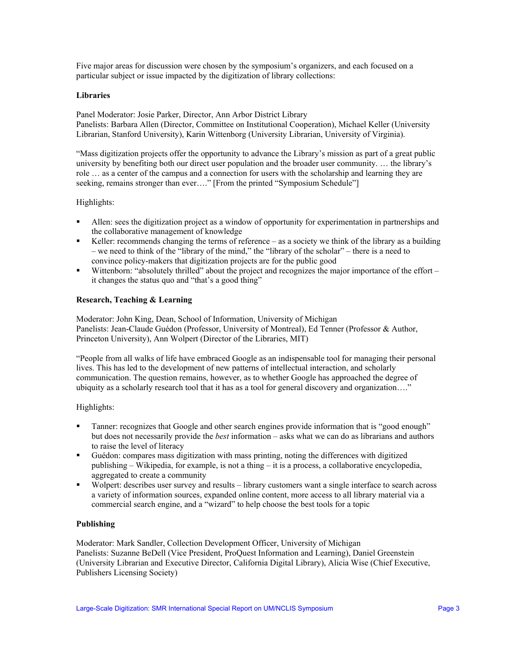Five major areas for discussion were chosen by the symposium's organizers, and each focused on a particular subject or issue impacted by the digitization of library collections:

#### **Libraries**

Panel Moderator: Josie Parker, Director, Ann Arbor District Library Panelists: Barbara Allen (Director, Committee on Institutional Cooperation), Michael Keller (University Librarian, Stanford University), Karin Wittenborg (University Librarian, University of Virginia).

"Mass digitization projects offer the opportunity to advance the Library's mission as part of a great public university by benefiting both our direct user population and the broader user community. … the library's role … as a center of the campus and a connection for users with the scholarship and learning they are seeking, remains stronger than ever...." [From the printed "Symposium Schedule"]

#### Highlights:

- Allen: sees the digitization project as a window of opportunity for experimentation in partnerships and the collaborative management of knowledge
- Keller: recommends changing the terms of reference as a society we think of the library as a building – we need to think of the "library of the mind," the "library of the scholar" – there is a need to convince policy-makers that digitization projects are for the public good
- Wittenborn: "absolutely thrilled" about the project and recognizes the major importance of the effort it changes the status quo and "that's a good thing"

#### **Research, Teaching & Learning**

Moderator: John King, Dean, School of Information, University of Michigan Panelists: Jean-Claude Guédon (Professor, University of Montreal), Ed Tenner (Professor & Author, Princeton University), Ann Wolpert (Director of the Libraries, MIT)

"People from all walks of life have embraced Google as an indispensable tool for managing their personal lives. This has led to the development of new patterns of intellectual interaction, and scholarly communication. The question remains, however, as to whether Google has approached the degree of ubiquity as a scholarly research tool that it has as a tool for general discovery and organization…."

#### Highlights:

- **Tanner: recognizes that Google and other search engines provide information that is "good enough"** but does not necessarily provide the *best* information – asks what we can do as librarians and authors to raise the level of literacy
- Guédon: compares mass digitization with mass printing, noting the differences with digitized publishing – Wikipedia, for example, is not a thing – it is a process, a collaborative encyclopedia, aggregated to create a community
- Wolpert: describes user survey and results library customers want a single interface to search across a variety of information sources, expanded online content, more access to all library material via a commercial search engine, and a "wizard" to help choose the best tools for a topic

#### **Publishing**

Moderator: Mark Sandler, Collection Development Officer, University of Michigan Panelists: Suzanne BeDell (Vice President, ProQuest Information and Learning), Daniel Greenstein (University Librarian and Executive Director, California Digital Library), Alicia Wise (Chief Executive, Publishers Licensing Society)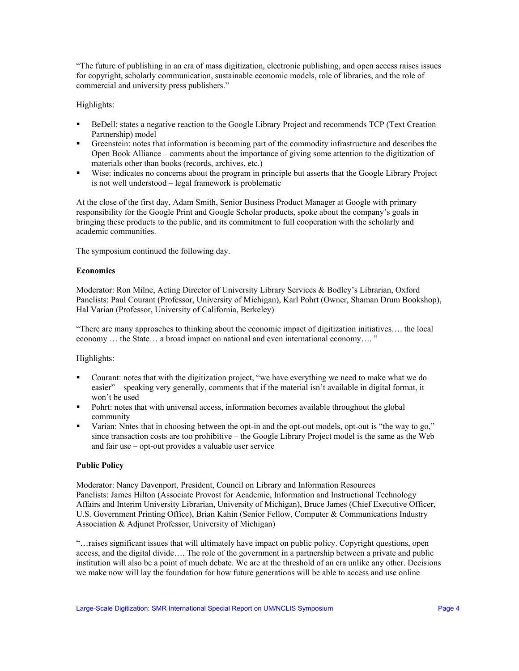"The future of publishing in an era of mass digitization, electronic publishing, and open access raises issues for copyright, scholarly communication, sustainable economic models, role of libraries, and the role of commercial and university press publishers."

# Highlights:

- **BeDell:** states a negative reaction to the Google Library Project and recommends TCP (Text Creation Partnership) model
- Greenstein: notes that information is becoming part of the commodity infrastructure and describes the Open Book Alliance – comments about the importance of giving some attention to the digitization of materials other than books (records, archives, etc.)
- Wise: indicates no concerns about the program in principle but asserts that the Google Library Project is not well understood – legal framework is problematic

At the close of the first day, Adam Smith, Senior Business Product Manager at Google with primary responsibility for the Google Print and Google Scholar products, spoke about the company's goals in bringing these products to the public, and its commitment to full cooperation with the scholarly and academic communities.

The symposium continued the following day.

#### **Economics**

Moderator: Ron Milne, Acting Director of University Library Services & Bodley's Librarian, Oxford Panelists: Paul Courant (Professor, University of Michigan), Karl Pohrt (Owner, Shaman Drum Bookshop), Hal Varian (Professor, University of California, Berkeley)

"There are many approaches to thinking about the economic impact of digitization initiatives…. the local economy … the State… a broad impact on national and even international economy…. "

# Highlights:

- Courant: notes that with the digitization project, "we have everything we need to make what we do easier" – speaking very generally, comments that if the material isn't available in digital format, it won't be used
- Pohrt: notes that with universal access, information becomes available throughout the global community
- Varian: Nntes that in choosing between the opt-in and the opt-out models, opt-out is "the way to go," since transaction costs are too prohibitive – the Google Library Project model is the same as the Web and fair use – opt-out provides a valuable user service

# **Public Policy**

Moderator: Nancy Davenport, President, Council on Library and Information Resources Panelists: James Hilton (Associate Provost for Academic, Information and Instructional Technology Affairs and Interim University Librarian, University of Michigan), Bruce James (Chief Executive Officer, U.S. Government Printing Office), Brian Kahin (Senior Fellow, Computer & Communications Industry Association & Adjunct Professor, University of Michigan)

"…raises significant issues that will ultimately have impact on public policy. Copyright questions, open access, and the digital divide…. The role of the government in a partnership between a private and public institution will also be a point of much debate. We are at the threshold of an era unlike any other. Decisions we make now will lay the foundation for how future generations will be able to access and use online